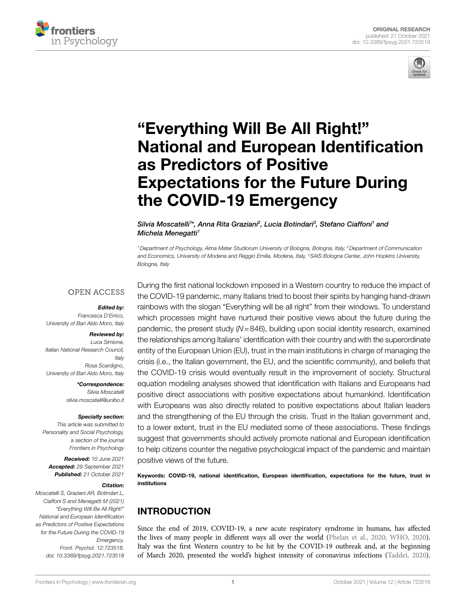



# ["Everything Will Be All Right!"](https://www.frontiersin.org/articles/10.3389/fpsyg.2021.723518/full)  [National and European Identification](https://www.frontiersin.org/articles/10.3389/fpsyg.2021.723518/full)  [as Predictors of Positive](https://www.frontiersin.org/articles/10.3389/fpsyg.2021.723518/full)  [Expectations for the Future During](https://www.frontiersin.org/articles/10.3389/fpsyg.2021.723518/full)  [the COVID-19 Emergency](https://www.frontiersin.org/articles/10.3389/fpsyg.2021.723518/full)

#### Silvia Moscatelli<sup>1\*</sup>, Anna Rita Graziani<sup>2</sup>, Lucia Botindari<sup>3</sup>, Stefano Ciaffoni<sup>1</sup> and *Michela Menegatti1*

*1Department of Psychology, Alma Mater Studiorum University of Bologna, Bologna, Italy, 2Department of Communication and Economics, University of Modena and Reggio Emilia, Modena, Italy, 3SAIS Bologna Center, John Hopkins University, Bologna, Italy*

## **OPEN ACCESS**

#### *Edited by:*

*Francesca D'Errico, University of Bari Aldo Moro, Italy*

#### *Reviewed by:*

*Luca Simione, Italian National Research Council, Italy Rosa Scardigno, University of Bari Aldo Moro, Italy*

> *\*Correspondence: Silvia Moscatelli [silvia.moscatelli@unibo.it](mailto:silvia.moscatelli@unibo.it)*

#### *Specialty section:*

*This article was submitted to Personality and Social Psychology, a section of the journal Frontiers in Psychology*

*Received: 10 June 2021 Accepted: 29 September 2021 Published: 21 October 2021*

#### *Citation:*

*Moscatelli S, Graziani AR, Botindari L, Ciaffoni S and Menegatti M (2021) "Everything Will Be All Right!" National and European Identification as Predictors of Positive Expectations for the Future During the COVID-19 Emergency. Front. Psychol. 12:723518. [doi: 10.3389/fpsyg.2021.723518](https://doi.org/10.3389/fpsyg.2021.723518)* During the first national lockdown imposed in a Western country to reduce the impact of the COVID-19 pandemic, many Italians tried to boost their spirits by hanging hand-drawn rainbows with the slogan "Everything will be all right" from their windows. To understand which processes might have nurtured their positive views about the future during the pandemic, the present study (*N*=846), building upon social identity research, examined the relationships among Italians' identification with their country and with the superordinate entity of the European Union (EU), trust in the main institutions in charge of managing the crisis (i.e., the Italian government, the EU, and the scientific community), and beliefs that the COVID-19 crisis would eventually result in the improvement of society. Structural equation modeling analyses showed that identification with Italians and Europeans had positive direct associations with positive expectations about humankind. Identification with Europeans was also directly related to positive expectations about Italian leaders and the strengthening of the EU through the crisis. Trust in the Italian government and, to a lower extent, trust in the EU mediated some of these associations. These findings suggest that governments should actively promote national and European identification to help citizens counter the negative psychological impact of the pandemic and maintain positive views of the future.

Keywords: COVID-19, national identification, European identification, expectations for the future, trust in institutions

# INTRODUCTION

Since the end of 2019, COVID-19, a new acute respiratory syndrome in humans, has affected the lives of many people in different ways all over the world [\(Phelan et al., 2020](#page-10-0); [WHO, 2020\)](#page-11-0). Italy was the first Western country to be hit by the COVID-19 outbreak and, at the beginning of March 2020, presented the world's highest intensity of coronavirus infections [\(Taddei, 2020\)](#page-11-1).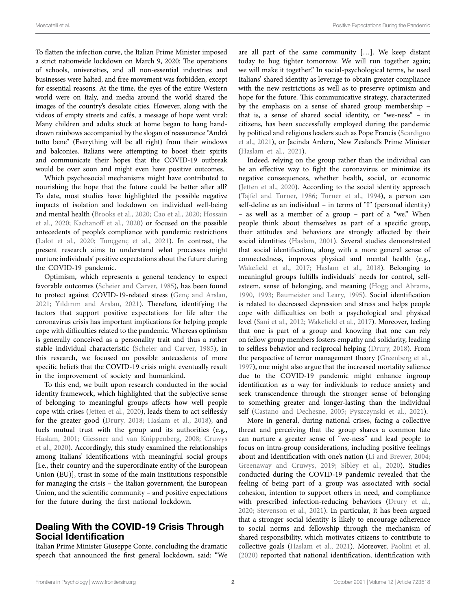To flatten the infection curve, the Italian Prime Minister imposed a strict nationwide lockdown on March 9, 2020: The operations of schools, universities, and all non-essential industries and businesses were halted, and free movement was forbidden, except for essential reasons. At the time, the eyes of the entire Western world were on Italy, and media around the world shared the images of the country's desolate cities. However, along with the videos of empty streets and cafés, a message of hope went viral: Many children and adults stuck at home began to hang handdrawn rainbows accompanied by the slogan of reassurance "Andrà tutto bene" (Everything will be all right) from their windows and balconies. Italians were attempting to boost their spirits and communicate their hopes that the COVID-19 outbreak would be over soon and might even have positive outcomes.

Which psychosocial mechanisms might have contributed to nourishing the hope that the future could be better after all? To date, most studies have highlighted the possible negative impacts of isolation and lockdown on individual well-being and mental health ([Brooks et al., 2020](#page-9-0); [Cao et al., 2020](#page-9-1); [Hossain](#page-10-1)  [et al., 2020](#page-10-1); [Kachanoff et al., 2020\)](#page-10-2) or focused on the possible antecedents of people's compliance with pandemic restrictions ([Lalot et al., 2020](#page-10-3); [Tunçgenç et al., 2021](#page-11-2)). In contrast, the present research aims to understand what processes might nurture individuals' positive expectations about the future during the COVID-19 pandemic.

Optimism, which represents a general tendency to expect favorable outcomes ([Scheier and Carver, 1985\)](#page-10-4), has been found to protect against COVID-19-related stress [\(Genç and Arslan,](#page-9-2)  [2021;](#page-9-2) Yıldırı[m and Arslan, 2021](#page-11-3)). Therefore, identifying the factors that support positive expectations for life after the coronavirus crisis has important implications for helping people cope with difficulties related to the pandemic. Whereas optimism is generally conceived as a personality trait and thus a rather stable individual characteristic ([Scheier and Carver, 1985](#page-10-4)), in this research, we focused on possible antecedents of more specific beliefs that the COVID-19 crisis might eventually result in the improvement of society and humankind.

To this end, we built upon research conducted in the social identity framework, which highlighted that the subjective sense of belonging to meaningful groups affects how well people cope with crises ([Jetten et al., 2020](#page-10-5)), leads them to act selflessly for the greater good [\(Drury, 2018](#page-9-3); [Haslam et al., 2018\)](#page-10-6), and fuels mutual trust with the group and its authorities (e.g., [Haslam, 2001](#page-10-7); [Giessner and van Knippenberg, 2008;](#page-9-4) [Cruwys](#page-9-5)  [et al., 2020](#page-9-5)). Accordingly, this study examined the relationships among Italians' identifications with meaningful social groups [i.e., their country and the superordinate entity of the European Union (EU)], trust in some of the main institutions responsible for managing the crisis – the Italian government, the European Union, and the scientific community – and positive expectations for the future during the first national lockdown.

# Dealing With the COVID-19 Crisis Through Social Identification

Italian Prime Minister Giuseppe Conte, concluding the dramatic speech that announced the first general lockdown, said: "We

are all part of the same community […]. We keep distant today to hug tighter tomorrow. We will run together again; we will make it together." In social-psychological terms, he used Italians' shared identity as leverage to obtain greater compliance with the new restrictions as well as to preserve optimism and hope for the future. This communicative strategy, characterized by the emphasis on a sense of shared group membership – that is, a sense of shared social identity, or "we-ness" – in citizens, has been successfully employed during the pandemic by political and religious leaders such as Pope Francis ([Scardigno](#page-10-8)  [et al., 2021](#page-10-8)), or Jacinda Ardern, New Zealand's Prime Minister [\(Haslam et al., 2021\)](#page-10-9).

Indeed, relying on the group rather than the individual can be an effective way to fight the coronavirus or minimize its negative consequences, whether health, social, or economic [\(Jetten et al., 2020](#page-10-5)). According to the social identity approach [\(Tajfel and Turner, 1986](#page-11-4); [Turner et al., 1994\)](#page-11-5), a person can self-define as an individual – in terms of "I" (personal identity) – as well as a member of a group – part of a "we." When people think about themselves as part of a specific group, their attitudes and behaviors are strongly affected by their social identities ([Haslam, 2001](#page-10-7)). Several studies demonstrated that social identification, along with a more general sense of connectedness, improves physical and mental health (e.g., [Wakefield et al., 2017;](#page-11-6) [Haslam et al., 2018](#page-10-6)). Belonging to meaningful groups fulfills individuals' needs for control, selfesteem, sense of belonging, and meaning [\(Hogg and Abrams,](#page-10-10)  [1990,](#page-10-10) [1993](#page-10-11); [Baumeister and Leary, 1995](#page-9-6)). Social identification is related to decreased depression and stress and helps people cope with difficulties on both a psychological and physical level ([Sani et al., 2012](#page-10-12); [Wakefield et al., 2017](#page-11-6)). Moreover, feeling that one is part of a group and knowing that one can rely on fellow group members fosters empathy and solidarity, leading to selfless behavior and reciprocal helping ([Drury, 2018\)](#page-9-3). From the perspective of terror management theory ([Greenberg et al.,](#page-9-7)  [1997\)](#page-9-7), one might also argue that the increased mortality salience due to the COVID-19 pandemic might enhance ingroup identification as a way for individuals to reduce anxiety and seek transcendence through the stronger sense of belonging to something greater and longer-lasting than the individual self [\(Castano and Dechesne, 2005;](#page-9-8) Pyszczynski et al., 2021).

More in general, during national crises, facing a collective threat and perceiving that the group shares a common fate can nurture a greater sense of "we-ness" and lead people to focus on intra-group considerations, including positive feelings about and identification with one's nation ([Li and Brewer, 2004;](#page-10-14) [Greenaway and Cruwys, 2019](#page-9-9); [Sibley et al., 2020\)](#page-10-15). Studies conducted during the COVID-19 pandemic revealed that the feeling of being part of a group was associated with social cohesion, intention to support others in need, and compliance with prescribed infection-reducing behaviors [\(Drury et al.,](#page-9-10)  [2020;](#page-9-10) [Stevenson et al., 2021\)](#page-11-7). In particular, it has been argued that a stronger social identity is likely to encourage adherence to social norms and fellowship through the mechanism of shared responsibility, which motivates citizens to contribute to collective goals ([Haslam et al., 2021\)](#page-10-9). Moreover, [Paolini et al.](#page-10-16)  [\(2020\)](#page-10-16) reported that national identification, identification with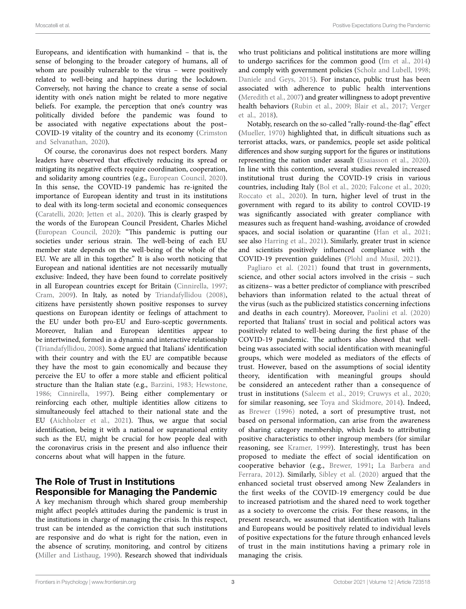Europeans, and identification with humankind – that is, the sense of belonging to the broader category of humans, all of whom are possibly vulnerable to the virus – were positively related to well-being and happiness during the lockdown. Conversely, not having the chance to create a sense of social identity with one's nation might be related to more negative beliefs. For example, the perception that one's country was politically divided before the pandemic was found to be associated with negative expectations about the post– COVID-19 vitality of the country and its economy [\(Crimston](#page-9-11)  [and Selvanathan, 2020\)](#page-9-11).

Of course, the coronavirus does not respect borders. Many leaders have observed that effectively reducing its spread or mitigating its negative effects require coordination, cooperation, and solidarity among countries (e.g., [European Council, 2020](#page-9-12)). In this sense, the COVID-19 pandemic has re-ignited the importance of European identity and trust in its institutions to deal with its long-term societal and economic consequences ([Caratelli, 2020](#page-9-13); [Jetten et al., 2020](#page-10-5)). This is clearly grasped by the words of the European Council President, Charles Michel ([European Council, 2020\)](#page-9-12): "This pandemic is putting our societies under serious strain. The well-being of each EU member state depends on the well-being of the whole of the EU. We are all in this together." It is also worth noticing that European and national identities are not necessarily mutually exclusive: Indeed, they have been found to correlate positively in all European countries except for Britain ([Cinnirella, 1997](#page-9-14); [Cram, 2009](#page-9-15)). In Italy, as noted by [Triandafyllidou \(2008\)](#page-11-8), citizens have persistently shown positive responses to survey questions on European identity or feelings of attachment to the EU under both pro-EU and Euro-sceptic governments. Moreover, Italian and European identities appear to be intertwined, formed in a dynamic and interactive relationship ([Triandafyllidou, 2008\)](#page-11-8). Some argued that Italians' identification with their country and with the EU are compatible because they have the most to gain economically and because they perceive the EU to offer a more stable and efficient political structure than the Italian state (e.g., [Barzini, 1983](#page-9-16); [Hewstone,](#page-10-17)  [1986;](#page-10-17) [Cinnirella, 1997\)](#page-9-14). Being either complementary or reinforcing each other, multiple identities allow citizens to simultaneously feel attached to their national state and the EU [\(Aichholzer et al., 2021](#page-9-17)). Thus, we argue that social identification, being it with a national or supranational entity such as the EU, might be crucial for how people deal with the coronavirus crisis in the present and also influence their concerns about what will happen in the future.

# The Role of Trust in Institutions Responsible for Managing the Pandemic

A key mechanism through which shared group membership might affect people's attitudes during the pandemic is trust in the institutions in charge of managing the crisis. In this respect, trust can be intended as the conviction that such institutions are responsive and do what is right for the nation, even in the absence of scrutiny, monitoring, and control by citizens ([Miller and Listhaug, 1990](#page-10-18)). Research showed that individuals who trust politicians and political institutions are more willing to undergo sacrifices for the common good [\(Im et al., 2014\)](#page-10-19) and comply with government policies [\(Scholz and Lubell, 1998;](#page-10-20) [Daniele and Geys, 2015](#page-9-18)). For instance, public trust has been associated with adherence to public health interventions [\(Meredith et al., 2007](#page-10-21)) and greater willingness to adopt preventive health behaviors [\(Rubin et al., 2009;](#page-10-22) [Blair et al., 2017;](#page-9-19) [Verger](#page-11-9)  [et al., 2018](#page-11-9)).

Notably, research on the so-called "rally-round-the-flag" effect [\(Mueller, 1970](#page-10-23)) highlighted that, in difficult situations such as terrorist attacks, wars, or pandemics, people set aside political differences and show surging support for the figures or institutions representing the nation under assault ([Esaiasson et al., 2020](#page-9-20)). In line with this contention, several studies revealed increased institutional trust during the COVID-19 crisis in various countries, including Italy [\(Bol et al., 2020](#page-9-21); [Falcone et al., 2020;](#page-9-22) [Roccato et al., 2020](#page-10-24)). In turn, higher level of trust in the government with regard to its ability to control COVID-19 was significantly associated with greater compliance with measures such as frequent hand-washing, avoidance of crowded spaces, and social isolation or quarantine [\(Han et al., 2021;](#page-10-25) see also [Harring et al., 2021\)](#page-10-26). Similarly, greater trust in science and scientists positively influenced compliance with the COVID-19 prevention guidelines ([Plohl and Musil, 2021\)](#page-10-27).

Pagliaro et al. (2021) found that trust in governments, science, and other social actors involved in the crisis – such as citizens– was a better predictor of compliance with prescribed behaviors than information related to the actual threat of the virus (such as the publicized statistics concerning infections and deaths in each country). Moreover, [Paolini et al. \(2020\)](#page-10-16) reported that Italians' trust in social and political actors was positively related to well-being during the first phase of the COVID-19 pandemic. The authors also showed that wellbeing was associated with social identification with meaningful groups, which were modeled as mediators of the effects of trust. However, based on the assumptions of social identity theory, identification with meaningful groups should be considered an antecedent rather than a consequence of trust in institutions [\(Saleem et al., 2019](#page-10-29); [Cruwys et al., 2020;](#page-9-5) for similar reasoning, see [Toya and Skidmore, 2014\)](#page-11-10). Indeed, as [Brewer \(1996\)](#page-9-23) noted, a sort of presumptive trust, not based on personal information, can arise from the awareness of sharing category membership, which leads to attributing positive characteristics to other ingroup members (for similar reasoning, see [Kramer, 1999\)](#page-10-30). Interestingly, trust has been proposed to mediate the effect of social identification on cooperative behavior (e.g., [Brewer, 1991;](#page-9-24) [La Barbera and](#page-10-31)  [Ferrara, 2012\)](#page-10-31). Similarly, [Sibley et al. \(2020\)](#page-10-15) argued that the enhanced societal trust observed among New Zealanders in the first weeks of the COVID-19 emergency could be due to increased patriotism and the shared need to work together as a society to overcome the crisis. For these reasons, in the present research, we assumed that identification with Italians and Europeans would be positively related to individual levels of positive expectations for the future through enhanced levels of trust in the main institutions having a primary role in managing the crisis.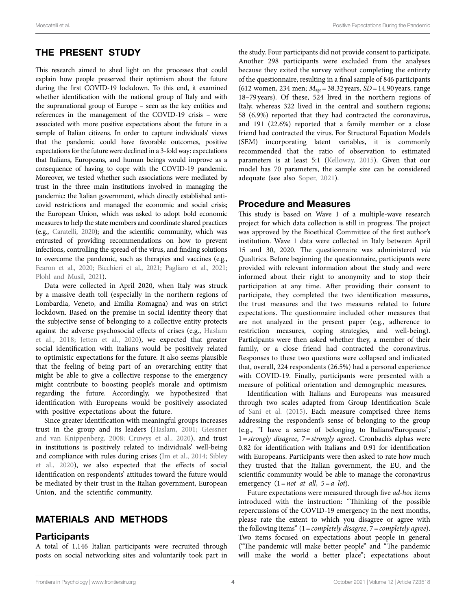# THE PRESENT STUDY

This research aimed to shed light on the processes that could explain how people preserved their optimism about the future during the first COVID-19 lockdown. To this end, it examined whether identification with the national group of Italy and with the supranational group of Europe – seen as the key entities and references in the management of the COVID-19 crisis – were associated with more positive expectations about the future in a sample of Italian citizens. In order to capture individuals' views that the pandemic could have favorable outcomes, positive expectations for the future were declined in a 3-fold way: expectations that Italians, Europeans, and human beings would improve as a consequence of having to cope with the COVID-19 pandemic. Moreover, we tested whether such associations were mediated by trust in the three main institutions involved in managing the pandemic: the Italian government, which directly established anticovid restrictions and managed the economic and social crisis; the European Union, which was asked to adopt bold economic measures to help the state members and coordinate shared practices (e.g., [Caratelli, 2020](#page-9-13)); and the scientific community, which was entrusted of providing recommendations on how to prevent infections, controlling the spread of the virus, and finding solutions to overcome the pandemic, such as therapies and vaccines (e.g., [Fearon et al., 2020](#page-9-25); [Bicchieri et al., 2021;](#page-9-26) [Pagliaro et al., 2021](#page-10-28); [Plohl and Musil, 2021\)](#page-10-27).

Data were collected in April 2020, when Italy was struck by a massive death toll (especially in the northern regions of Lombardia, Veneto, and Emilia Romagna) and was on strict lockdown. Based on the premise in social identity theory that the subjective sense of belonging to a collective entity protects against the adverse psychosocial effects of crises (e.g., [Haslam](#page-10-6)  [et al., 2018;](#page-10-6) [Jetten et al., 2020](#page-10-5)), we expected that greater social identification with Italians would be positively related to optimistic expectations for the future. It also seems plausible that the feeling of being part of an overarching entity that might be able to give a collective response to the emergency might contribute to boosting people's morale and optimism regarding the future. Accordingly, we hypothesized that identification with Europeans would be positively associated with positive expectations about the future.

Since greater identification with meaningful groups increases trust in the group and its leaders ([Haslam, 2001](#page-10-7); [Giessner](#page-9-4)  [and van Knippenberg, 2008;](#page-9-4) [Cruwys et al., 2020\)](#page-9-5), and trust in institutions is positively related to individuals' well-being and compliance with rules during crises ([Im et al., 2014;](#page-10-19) [Sibley](#page-10-15)  [et al., 2020](#page-10-15)), we also expected that the effects of social identification on respondents' attitudes toward the future would be mediated by their trust in the Italian government, European Union, and the scientific community.

# MATERIALS AND METHODS

## **Participants**

A total of 1,146 Italian participants were recruited through posts on social networking sites and voluntarily took part in

the study. Four participants did not provide consent to participate. Another 298 participants were excluded from the analyses because they exited the survey without completing the entirety of the questionnaire, resulting in a final sample of 846 participants (612 women, 234 men;  $M_{\text{age}} = 38.32 \text{ years}$ ,  $SD = 14.90 \text{ years}$ , range 18–79 years). Of these, 524 lived in the northern regions of Italy, whereas 322 lived in the central and southern regions; 58 (6.9%) reported that they had contracted the coronavirus, and 191 (22.6%) reported that a family member or a close friend had contracted the virus. For Structural Equation Models (SEM) incorporating latent variables, it is commonly recommended that the ratio of observation to estimated parameters is at least 5:1 [\(Kelloway, 2015\)](#page-10-32). Given that our model has 70 parameters, the sample size can be considered adequate (see also [Soper, 2021\)](#page-10-33).

## Procedure and Measures

This study is based on Wave 1 of a multiple-wave research project for which data collection is still in progress. The project was approved by the Bioethical Committee of the first author's institution. Wave 1 data were collected in Italy between April 15 and 30, 2020. The questionnaire was administered *via* Qualtrics. Before beginning the questionnaire, participants were provided with relevant information about the study and were informed about their right to anonymity and to stop their participation at any time. After providing their consent to participate, they completed the two identification measures, the trust measures and the two measures related to future expectations. The questionnaire included other measures that are not analyzed in the present paper (e.g., adherence to restriction measures, coping strategies, and well-being). Participants were then asked whether they, a member of their family, or a close friend had contracted the coronavirus. Responses to these two questions were collapsed and indicated that, overall, 224 respondents (26.5%) had a personal experience with COVID-19. Finally, participants were presented with a measure of political orientation and demographic measures.

Identification with Italians and Europeans was measured through two scales adapted from Group Identification Scale of [Sani et al. \(2015\)](#page-10-34). Each measure comprised three items addressing the respondent's sense of belonging to the group (e.g., "I have a sense of belonging to Italians/Europeans"; 1=*strongly disagree*, 7=*strongly agree*). Cronbach's alphas were 0.82 for identification with Italians and 0.91 for identification with Europeans. Participants were then asked to rate how much they trusted that the Italian government, the EU, and the scientific community would be able to manage the coronavirus emergency (1=*not at all*, 5=*a lot*).

Future expectations were measured through five *ad-hoc* items introduced with the instruction: "Thinking of the possible repercussions of the COVID-19 emergency in the next months, please rate the extent to which you disagree or agree with the following items" (1=*completely disagree*, 7=*completely agree*). Two items focused on expectations about people in general ("The pandemic will make better people" and "The pandemic will make the world a better place"; expectations about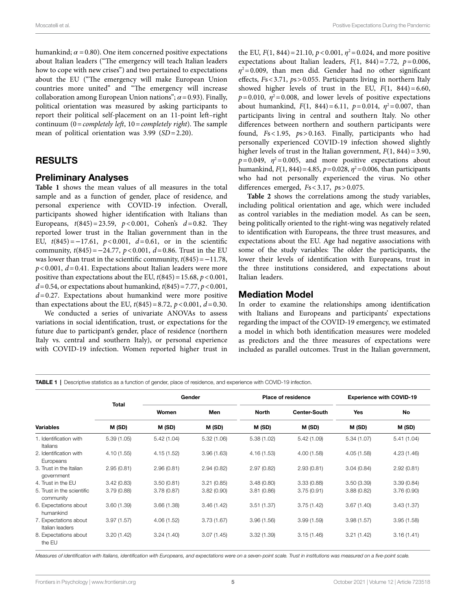humankind;  $\alpha$  = 0.80). One item concerned positive expectations about Italian leaders ("The emergency will teach Italian leaders how to cope with new crises") and two pertained to expectations about the EU ("The emergency will make European Union countries more united" and "The emergency will increase collaboration among European Union nations";  $\alpha$  = 0.93). Finally, political orientation was measured by asking participants to report their political self-placement on an 11-point left–right continuum (0=*completely left*, 10=*completely right*). The sample mean of political orientation was 3.99 (*SD*=2.20).

## RESULTS

#### Preliminary Analyses

Table 1 shows the mean values of all measures in the total sample and as a function of gender, place of residence, and personal experience with COVID-19 infection. Overall, participants showed higher identification with Italians than Europeans, *t*(845)=23.59, *p*<0.001, Cohen's *d*=0.82. They reported lower trust in the Italian government than in the EU, *t*(845)=−17.61, *p*<0.001, *d*=0.61, or in the scientific community, *t*(845)=−24.77, *p*<0.001, *d*=0.86. Trust in the EU was lower than trust in the scientific community, *t*(845)=−11.78,  $p$ <0.001,  $d$ =0.41. Expectations about Italian leaders were more positive than expectations about the EU,  $t(845) = 15.68$ ,  $p < 0.001$ , *d*=0.54, or expectations about humankind, *t*(845)=7.77, *p*<0.001, *d*=0.27. Expectations about humankind were more positive than expectations about the EU,  $t(845) = 8.72$ ,  $p < 0.001$ ,  $d = 0.30$ .

We conducted a series of univariate ANOVAs to assess variations in social identification, trust, or expectations for the future due to participant's gender, place of residence (northern Italy vs. central and southern Italy), or personal experience with COVID-19 infection. Women reported higher trust in

the EU,  $F(1, 844) = 21.10, p < 0.001, \eta^2 = 0.024$ , and more positive expectations about Italian leaders,  $F(1, 844) = 7.72$ ,  $p = 0.006$ ,  $\eta^2$ =0.009, than men did. Gender had no other significant effects, *F*s<3.71, *p*s>0.055. Participants living in northern Italy showed higher levels of trust in the EU,  $F(1, 844) = 6.60$ ,  $p=0.010$ ,  $\eta^2=0.008$ , and lower levels of positive expectations about humankind,  $F(1, 844) = 6.11$ ,  $p = 0.014$ ,  $\eta^2 = 0.007$ , than participants living in central and southern Italy. No other differences between northern and southern participants were found, *F*s<1.95, *p*s>0.163. Finally, participants who had personally experienced COVID-19 infection showed slightly higher levels of trust in the Italian government,  $F(1, 844) = 3.90$ ,  $p=0.049$ ,  $\eta^2=0.005$ , and more positive expectations about humankind,  $F(1, 844) = 4.85$ ,  $p = 0.028$ ,  $\eta^2 = 0.006$ , than participants who had not personally experienced the virus. No other differences emerged, *F*s<3.17, *p*s>0.075.

Table 2 shows the correlations among the study variables, including political orientation and age, which were included as control variables in the mediation model. As can be seen, being politically oriented to the right-wing was negatively related to identification with Europeans, the three trust measures, and expectations about the EU. Age had negative associations with some of the study variables: The older the participants, the lower their levels of identification with Europeans, trust in the three institutions considered, and expectations about Italian leaders.

#### Mediation Model

In order to examine the relationships among identification with Italians and Europeans and participants' expectations regarding the impact of the COVID-19 emergency, we estimated a model in which both identification measures were modeled as predictors and the three measures of expectations were included as parallel outcomes. Trust in the Italian government,

<span id="page-4-0"></span>TABLE 1 | Descriptive statistics as a function of gender, place of residence, and experience with COVID-19 infection.

| <b>Variables</b>                         |              |            | Gender     |              | <b>Place of residence</b> | <b>Experience with COVID-19</b> |             |  |
|------------------------------------------|--------------|------------|------------|--------------|---------------------------|---------------------------------|-------------|--|
|                                          | <b>Total</b> | Women      | Men        | <b>North</b> | <b>Center-South</b>       | <b>Yes</b>                      | No          |  |
|                                          | M (SD)       | M (SD)     | M (SD)     | M (SD)       | M (SD)                    | M (SD)                          | M (SD)      |  |
| 1. Identification with<br>Italians       | 5.39(1.05)   | 5.42(1.04) | 5.32(1.06) | 5.38(1.02)   | 5.42(1.09)                | 5.34(1.07)                      | 5.41(1.04)  |  |
| 2. Identification with<br>Europeans      | 4.10(1.55)   | 4.15(1.52) | 3.96(1.63) | 4.16(1.53)   | 4.00(1.58)                | 4.05(1.58)                      | 4.23 (1.46) |  |
| 3. Trust in the Italian<br>government    | 2.95(0.81)   | 2.96(0.81) | 2.94(0.82) | 2.97(0.82)   | 2.93(0.81)                | 3.04(0.84)                      | 2.92(0.81)  |  |
| 4. Trust in the EU                       | 3.42(0.83)   | 3.50(0.81) | 3.21(0.85) | 3.48(0.80)   | 3.33(0.88)                | 3.50(3.39)                      | 3.39(0.84)  |  |
| 5. Trust in the scientific<br>community  | 3.79(0.88)   | 3.78(0.87) | 3.82(0.90) | 3.81(0.86)   | 3.75(0.91)                | 3.88(0.82)                      | 3.76(0.90)  |  |
| 6. Expectations about<br>humankind       | 3.60(1.39)   | 3.66(1.38) | 3.46(1.42) | 3.51(1.37)   | 3.75(1.42)                | 3.67(1.40)                      | 3.43(1.37)  |  |
| 7. Expectations about<br>Italian leaders | 3.97(1.57)   | 4.06(1.52) | 3.73(1.67) | 3.96(1.56)   | 3.99(1.59)                | 3.98(1.57)                      | 3.95(1.58)  |  |
| 8. Expectations about<br>the EU          | 3.20(1.42)   | 3.24(1.40) | 3.07(1.45) | 3.32(1.39)   | 3.15(1.46)                | 3.21(1.42)                      | 3.16(1.41)  |  |

*Measures of identification with Italians, identification with Europeans, and expectations were on a seven-point scale. Trust in institutions was measured on a five-point scale.*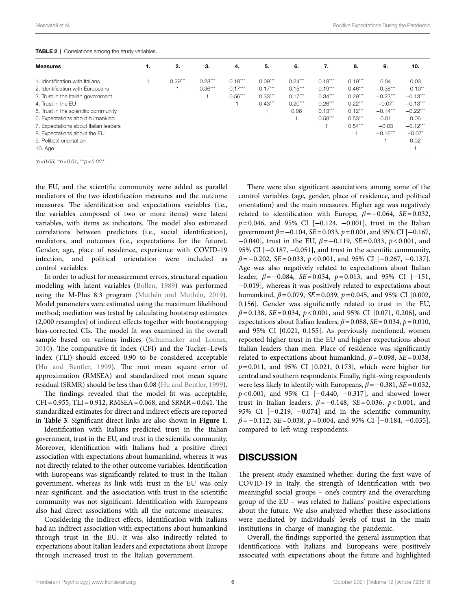#### <span id="page-5-0"></span>TABLE 2 | Correlations among the study variables.

| <b>Measures</b>                       | 1. | 2.        | З.        | 4.        | 5.        | 6.        | 7.        | 8.        | 9.         | 10.        |
|---------------------------------------|----|-----------|-----------|-----------|-----------|-----------|-----------|-----------|------------|------------|
| 1. Identification with Italians       |    | $0.29***$ | $0.28***$ | $0.18***$ | $0.09***$ | $0.24***$ | $0.18***$ | $0.19***$ | 0.04       | 0.03       |
| 2. Identification with Europeans      |    |           | $0.36***$ | $0.17***$ | $0.17***$ | $0.15***$ | $0.19***$ | $0.46***$ | $-0.38***$ | $-0.10**$  |
| 3. Trust in the Italian government    |    |           |           | $0.56***$ | $0.33***$ | $0.17***$ | $0.34***$ | $0.29***$ | $-0.23***$ | $-0.13***$ |
| 4. Trust in the EU                    |    |           |           |           | $0.43***$ | $0.20***$ | $0.26***$ | $0.22***$ | $-0.07*$   | $-0.13***$ |
| 5. Trust in the scientific community  |    |           |           |           |           | 0.06      | $0.13***$ | $0.12***$ | $-0.14***$ | $-0.22***$ |
| 6. Expectations about humankind       |    |           |           |           |           |           | $0.58***$ | $0.53***$ | 0.01       | 0.06       |
| 7. Expectations about Italian leaders |    |           |           |           |           |           |           | $0.54***$ | $-0.03$    | $-0.12***$ |
| 8. Expectations about the EU          |    |           |           |           |           |           |           |           | $-0.16***$ | $-0.07*$   |
| 9. Political orientation              |    |           |           |           |           |           |           |           |            | 0.02       |
| $10.$ Age                             |    |           |           |           |           |           |           |           |            |            |

*\* p<0.05; \*\*p<0.01; \*\*\*p<0.001.*

the EU, and the scientific community were added as parallel mediators of the two identification measures and the outcome measures. The identification and expectations variables (i.e., the variables composed of two or more items) were latent variables, with items as indicators. The model also estimated correlations between predictors (i.e., social identification), mediators, and outcomes (i.e., expectations for the future). Gender, age, place of residence, experience with COVID-19 infection, and political orientation were included as control variables.

In order to adjust for measurement errors, structural equation modeling with latent variables [\(Bollen, 1989\)](#page-9-27) was performed using the M-Plus 8.3 program [\(Muthén and Muthén, 2019](#page-10-35)). Model parameters were estimated using the maximum likelihood method; mediation was tested by calculating bootstrap estimates (2,000 resamples) of indirect effects together with bootstrapping bias-corrected CIs. The model fit was examined in the overall sample based on various indices (Schumacker and Lomax, [2010\)](#page-10-36). The comparative fit index (CFI) and the Tucker–Lewis index (TLI) should exceed 0.90 to be considered acceptable ([Hu and Bentler, 1999](#page-10-37)). The root mean square error of approximation (RMSEA) and standardized root mean square residual (SRMR) should be less than 0.08 [\(Hu and Bentler, 1999](#page-10-37)).

The findings revealed that the model fit was acceptable,  $CFI = 0.955$ ,  $TLI = 0.912$ ,  $RMSEA = 0.068$ , and  $SRMR = 0.041$ . The standardized estimates for direct and indirect effects are reported in **[Table 3](#page-6-0)**. Significant direct links are also shown in **[Figure 1](#page-7-0)**.

Identification with Italians predicted trust in the Italian government, trust in the EU, and trust in the scientific community. Moreover, identification with Italians had a positive direct association with expectations about humankind, whereas it was not directly related to the other outcome variables. Identification with Europeans was significantly related to trust in the Italian government, whereas its link with trust in the EU was only near significant, and the association with trust in the scientific community was not significant. Identification with Europeans also had direct associations with all the outcome measures.

Considering the indirect effects, identification with Italians had an indirect association with expectations about humankind through trust in the EU. It was also indirectly related to expectations about Italian leaders and expectations about Europe through increased trust in the Italian government.

There were also significant associations among some of the control variables (age, gender, place of residence, and political orientation) and the main measures. Higher age was negatively related to identification with Europe,  $\beta = -0.064$ , *SE* = 0.032, *p*=0.046, and 95% CI [−0.124, −0.001], trust in the Italian government *β*=−0.104, *SE*=0.033, *p*=0.001, and 95% CI [−0.167, −0.040], trust in the EU, *β*=−0.119, *SE*=0.033, *p*<0.001, and 95% CI [−0.187, −0.051], and trust in the scientific community, *β*=−0.202, *SE*=0.033, *p*<0.001, and 95% CI [−0.267, −0.137]. Age was also negatively related to expectations about Italian leader, *β*=−0.084, *SE*=0.034, *p*=0.013, and 95% CI [−151, −0.019], whereas it was positively related to expectations about humankind, *β*=0.079, *SE*=0.039, *p*=0.045, and 95% CI [0.002, 0.156]. Gender was significantly related to trust in the EU, *β*=0.138, *SE*=0.034, *p*<0.001, and 95% CI [0.071, 0.206], and expectations about Italian leaders,  $\beta$  = 0.088, *SE* = 0.034, *p* = 0.010, and 95% CI [0.021, 0.155]. As previously mentioned, women reported higher trust in the EU and higher expectations about Italian leaders than men. Place of residence was significantly related to expectations about humankind,  $\beta$ =0.098, *SE*=0.038, *p*=0.011, and 95% CI [0.021, 0.173], which were higher for central and southern respondents. Finally, right-wing respondents were less likely to identify with Europeans, *β*=−0.381, *SE*=0.032, *p*<0.001, and 95% CI [−0.440, −0.317], and showed lower trust in Italian leaders, *β*=−0.148, *SE*=0.036, *p*<0.001, and 95% CI [−0.219, −0.074] and in the scientific community, *β*=−0.112, *SE*=0.038, *p*=0.004, and 95% CI [−0.184, −0.035], compared to left-wing respondents.

## **DISCUSSION**

The present study examined whether, during the first wave of COVID-19 in Italy, the strength of identification with two meaningful social groups – one's country and the overarching group of the EU – was related to Italians' positive expectations about the future. We also analyzed whether these associations were mediated by individuals' levels of trust in the main institutions in charge of managing the pandemic.

Overall, the findings supported the general assumption that identifications with Italians and Europeans were positively associated with expectations about the future and highlighted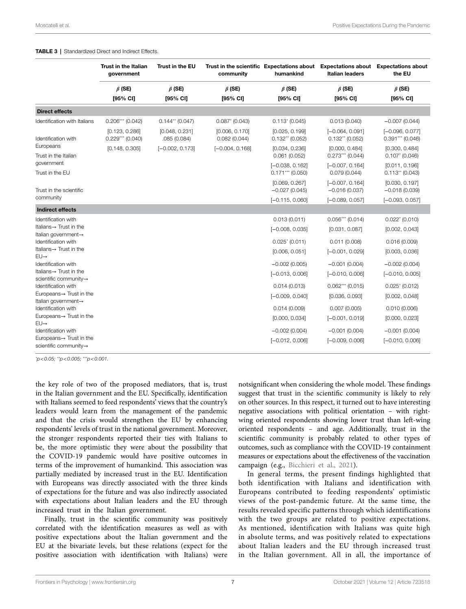|                                                  | <b>Trust in the Italian</b><br>government | Trust in the EU               | Trust in the scientific Expectations about<br>community | humankind                               | <b>Italian leaders</b>                 | <b>Expectations about</b> Expectations about<br>the EU |
|--------------------------------------------------|-------------------------------------------|-------------------------------|---------------------------------------------------------|-----------------------------------------|----------------------------------------|--------------------------------------------------------|
|                                                  | $\beta$ (SE)                              | $\beta$ (SE)                  | $\beta$ (SE)                                            | $\beta$ (SE)                            | $\beta$ (SE)                           | $\beta$ (SE)                                           |
|                                                  | [95% CI]                                  | [95% CI]                      | [95% CI]                                                | [95% CI]                                | [95% CI]                               | [95% CI]                                               |
| <b>Direct effects</b>                            |                                           |                               |                                                         |                                         |                                        |                                                        |
| Identification with Italians                     | $0.206***$ (0.042)                        | $0.144**$ (0.047)             | $0.087$ $(0.043)$                                       | $0.113$ (0.045)                         | 0.013(0.040)                           | $-0.007(0.044)$                                        |
| Identification with                              | [0.123, 0.286]<br>$0.229***$ (0.040)      | [0.048, 0.231]<br>.085(0.084) | [0.006, 0.170]<br>0.082(0.044)                          | [0.025, 0.199]<br>$0.132**$ (0.052)     | $[-0.064, 0.091]$<br>$0.132**$ (0.052) | $[-0.096, 0.077]$<br>$0.391***$ (0.046)                |
| Europeans<br>Trust in the Italian                | [0.148, 0.305]                            | $[-0.002, 0.173]$             | $[-0.004, 0.168]$                                       | [0.034, 0.236]<br>0.061(0.052)          | [0.000, 0.484]<br>$0.273***$ (0.044)   | [0.300, 0.484]<br>$0.107* (0.046)$                     |
| government<br>Trust in the EU                    |                                           |                               |                                                         | $[-0.038, 0.162]$<br>$0.171***$ (0.050) | $[-0.007, 0.164]$<br>0.079(0.044)      | [0.011, 0.196]<br>$0.113**$ (0.043)                    |
| Trust in the scientific                          |                                           |                               |                                                         | [0.069, 0.267]<br>$-0.027(0.045)$       | $[-0.007, 0.164]$<br>$-0.016(0.037)$   | [0.030, 0.197]<br>$-0.018(0.039)$                      |
| community                                        |                                           |                               |                                                         | $[-0.115, 0.060]$                       | $[-0.089, 0.057]$                      | $[-0.093, 0.057]$                                      |
| <b>Indirect effects</b>                          |                                           |                               |                                                         |                                         |                                        |                                                        |
| Identification with                              |                                           |                               |                                                         | 0.013(0.011)                            | $0.056***$ (0.014)                     | $0.022^* (0.010)$                                      |
| Italians $\rightarrow$ Trust in the              |                                           |                               |                                                         | $[-0.008, 0.035]$                       | [0.031, 0.087]                         | [0.002, 0.043]                                         |
| Italian government-<br>Identification with       |                                           |                               |                                                         | $0.025^{\circ}$ (0.011)                 | 0.011(0.008)                           | 0.016(0.009)                                           |
| Italians $\rightarrow$ Trust in the              |                                           |                               |                                                         | [0.006, 0.051]                          | $[-0.001, 0.029]$                      | [0.003, 0.036]                                         |
| $EU \rightarrow$<br>Identification with          |                                           |                               |                                                         | $-0.002(0.005)$                         | $-0.001(0.004)$                        | $-0.002(0.004)$                                        |
| Italians $\rightarrow$ Trust in the              |                                           |                               |                                                         | $[-0.013, 0.006]$                       | $[-0.010, 0.006]$                      | $[-0.010, 0.005]$                                      |
| scientific community→                            |                                           |                               |                                                         |                                         |                                        |                                                        |
| Identification with                              |                                           |                               |                                                         | 0.014(0.013)                            | $0.062***$ (0.015)                     | $0.025$ <sup>*</sup> (0.012)                           |
| Europeans→ Trust in the<br>Italian government→   |                                           |                               |                                                         | $[-0.009, 0.040]$                       | [0.036, 0.093]                         | [0.002, 0.048]                                         |
| Identification with                              |                                           |                               |                                                         | 0.014(0.009)                            | 0.007(0.005)                           | 0.010(0.006)                                           |
| Europeans→ Trust in the                          |                                           |                               |                                                         | [0.000, 0.034]                          | $[-0.001, 0.019]$                      | [0.000, 0.023]                                         |
| $EU\rightarrow$<br>Identification with           |                                           |                               |                                                         | $-0.002(0.004)$                         | $-0.001(0.004)$                        | $-0.001(0.004)$                                        |
| Europeans→ Trust in the<br>scientific community- |                                           |                               |                                                         | $[-0.012, 0.006]$                       | $[-0.009, 0.006]$                      | $[-0.010, 0.006]$                                      |

#### <span id="page-6-0"></span>TABLE 3 | Standardized Direct and Indirect Effects.

*\* p<0.05; \*\*p<0.005; \*\*\*p<0.001.*

the key role of two of the proposed mediators, that is, trust in the Italian government and the EU. Specifically, identification with Italians seemed to feed respondents' views that the country's leaders would learn from the management of the pandemic and that the crisis would strengthen the EU by enhancing respondents' levels of trust in the national government. Moreover, the stronger respondents reported their ties with Italians to be, the more optimistic they were about the possibility that the COVID-19 pandemic would have positive outcomes in terms of the improvement of humankind. This association was partially mediated by increased trust in the EU. Identification with Europeans was directly associated with the three kinds of expectations for the future and was also indirectly associated with expectations about Italian leaders and the EU through increased trust in the Italian government.

Finally, trust in the scientific community was positively correlated with the identification measures as well as with positive expectations about the Italian government and the EU at the bivariate levels, but these relations (expect for the positive association with identification with Italians) were

notsignificant when considering the whole model. These findings suggest that trust in the scientific community is likely to rely on other sources. In this respect, it turned out to have interesting negative associations with political orientation – with rightwing oriented respondents showing lower trust than left-wing oriented respondents – and age. Additionally, trust in the scientific community is probably related to other types of outcomes, such as compliance with the COVID-19 containment measures or expectations about the effectiveness of the vaccination campaign (e.g., [Bicchieri et al., 2021](#page-9-26)).

In general terms, the present findings highlighted that both identification with Italians and identification with Europeans contributed to feeding respondents' optimistic views of the post-pandemic future. At the same time, the results revealed specific patterns through which identifications with the two groups are related to positive expectations. As mentioned, identification with Italians was quite high in absolute terms, and was positively related to expectations about Italian leaders and the EU through increased trust in the Italian government. All in all, the importance of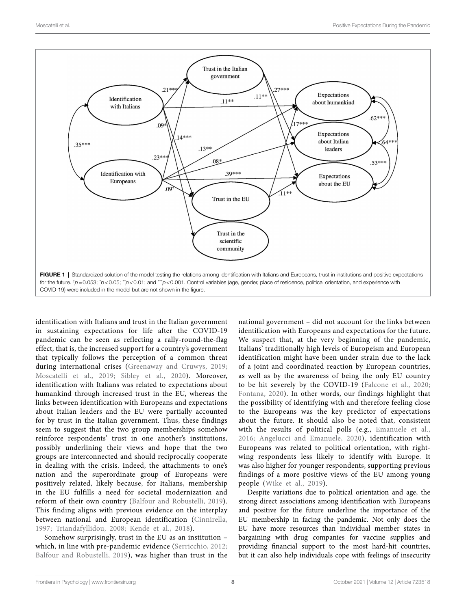<span id="page-7-0"></span>

identification with Italians and trust in the Italian government in sustaining expectations for life after the COVID-19 pandemic can be seen as reflecting a rally-round-the-flag effect, that is, the increased support for a country's government that typically follows the perception of a common threat during international crises ([Greenaway and Cruwys, 2019](#page-9-9); [Moscatelli et al., 2019](#page-10-38); [Sibley et al., 2020\)](#page-10-15). Moreover, identification with Italians was related to expectations about humankind through increased trust in the EU, whereas the links between identification with Europeans and expectations about Italian leaders and the EU were partially accounted for by trust in the Italian government. Thus, these findings seem to suggest that the two group memberships somehow reinforce respondents' trust in one another's institutions, possibly underlining their views and hope that the two groups are interconnected and should reciprocally cooperate in dealing with the crisis. Indeed, the attachments to one's nation and the superordinate group of Europeans were positively related, likely because, for Italians, membership in the EU fulfills a need for societal modernization and reform of their own country ([Balfour and Robustelli, 2019\)](#page-9-28). This finding aligns with previous evidence on the interplay between national and European identification [\(Cinnirella,](#page-9-14)  [1997](#page-9-14); [Triandafyllidou, 2008](#page-11-8); [Kende et al., 2018\)](#page-10-39).

Somehow surprisingly, trust in the EU as an institution – which, in line with pre-pandemic evidence [\(Serricchio, 2012](#page-10-40); [Balfour and Robustelli, 2019](#page-9-28)), was higher than trust in the

national government – did not account for the links between identification with Europeans and expectations for the future. We suspect that, at the very beginning of the pandemic, Italians' traditionally high levels of Europeism and European identification might have been under strain due to the lack of a joint and coordinated reaction by European countries, as well as by the awareness of being the only EU country to be hit severely by the COVID-19 ([Falcone et al., 2020;](#page-9-22) [Fontana, 2020\)](#page-9-29). In other words, our findings highlight that the possibility of identifying with and therefore feeling close to the Europeans was the key predictor of expectations about the future. It should also be noted that, consistent with the results of political polls (e.g., [Emanuele et al.,](#page-9-30)  [2016;](#page-9-30) [Angelucci and Emanuele, 2020](#page-9-31)), identification with Europeans was related to political orientation, with rightwing respondents less likely to identify with Europe. It was also higher for younger respondents, supporting previous findings of a more positive views of the EU among young people (Wike et al., 2019).

Despite variations due to political orientation and age, the strong direct associations among identification with Europeans and positive for the future underline the importance of the EU membership in facing the pandemic. Not only does the EU have more resources than individual member states in bargaining with drug companies for vaccine supplies and providing financial support to the most hard-hit countries, but it can also help individuals cope with feelings of insecurity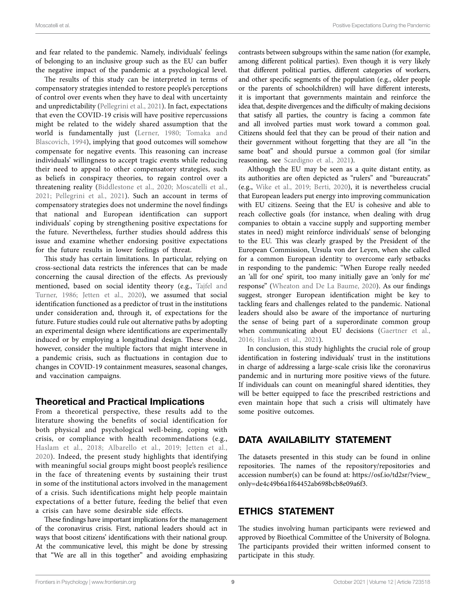and fear related to the pandemic. Namely, individuals' feelings of belonging to an inclusive group such as the EU can buffer the negative impact of the pandemic at a psychological level.

The results of this study can be interpreted in terms of compensatory strategies intended to restore people's perceptions of control over events when they have to deal with uncertainty and unpredictability ([Pellegrini et al., 2021\)](#page-10-41). In fact, expectations that even the COVID-19 crisis will have positive repercussions might be related to the widely shared assumption that the world is fundamentally just ([Lerner, 1980;](#page-10-42) [Tomaka and](#page-11-12)  [Blascovich, 1994](#page-11-12)), implying that good outcomes will somehow compensate for negative events. This reasoning can increase individuals' willingness to accept tragic events while reducing their need to appeal to other compensatory strategies, such as beliefs in conspiracy theories, to regain control over a threatening reality [\(Biddlestone et al., 2020](#page-9-32); [Moscatelli et al.,](#page-10-43)  [2021;](#page-10-43) [Pellegrini et al., 2021\)](#page-10-41). Such an account in terms of compensatory strategies does not undermine the novel findings that national and European identification can support individuals' coping by strengthening positive expectations for the future. Nevertheless, further studies should address this issue and examine whether endorsing positive expectations for the future results in lower feelings of threat.

This study has certain limitations. In particular, relying on cross-sectional data restricts the inferences that can be made concerning the causal direction of the effects. As previously mentioned, based on social identity theory (e.g., [Tajfel and](#page-11-4)  [Turner, 1986](#page-11-4); Jetten et al., 2020), we assumed that social identification functioned as a predictor of trust in the institutions under consideration and, through it, of expectations for the future. Future studies could rule out alternative paths by adopting an experimental design where identifications are experimentally induced or by employing a longitudinal design. These should, however, consider the multiple factors that might intervene in a pandemic crisis, such as fluctuations in contagion due to changes in COVID-19 containment measures, seasonal changes, and vaccination campaigns.

## Theoretical and Practical Implications

From a theoretical perspective, these results add to the literature showing the benefits of social identification for both physical and psychological well-being, coping with crisis, or compliance with health recommendations (e.g., [Haslam et al., 2018](#page-10-6); [Albarello et al., 2019;](#page-9-33) [Jetten et al.,](#page-10-5)  [2020](#page-10-5)). Indeed, the present study highlights that identifying with meaningful social groups might boost people's resilience in the face of threatening events by sustaining their trust in some of the institutional actors involved in the management of a crisis. Such identifications might help people maintain expectations of a better future, feeding the belief that even a crisis can have some desirable side effects.

These findings have important implications for the management of the coronavirus crisis. First, national leaders should act in ways that boost citizens' identifications with their national group. At the communicative level, this might be done by stressing that "We are all in this together" and avoiding emphasizing

contrasts between subgroups within the same nation (for example, among different political parties). Even though it is very likely that different political parties, different categories of workers, and other specific segments of the population (e.g., older people or the parents of schoolchildren) will have different interests, it is important that governments maintain and reinforce the idea that, despite divergences and the difficulty of making decisions that satisfy all parties, the country is facing a common fate and all involved parties must work toward a common goal. Citizens should feel that they can be proud of their nation and their government without forgetting that they are all "in the same boat" and should pursue a common goal (for similar reasoning, see [Scardigno et al., 2021](#page-10-8)).

Although the EU may be seen as a quite distant entity, as its authorities are often depicted as "rulers" and "bureaucrats" (e.g., [Wike et al., 2019](#page-11-11); [Berti, 2020\)](#page-9-34), it is nevertheless crucial that European leaders put energy into improving communication with EU citizens. Seeing that the EU is cohesive and able to reach collective goals (for instance, when dealing with drug companies to obtain a vaccine supply and supporting member states in need) might reinforce individuals' sense of belonging to the EU. This was clearly grasped by the President of the European Commission, Ursula von der Leyen, when she called for a common European identity to overcome early setbacks in responding to the pandemic: "When Europe really needed an 'all for one' spirit, too many initially gave an 'only for me' response" ([Wheaton and De La Baume, 2020\)](#page-11-13). As our findings suggest, stronger European identification might be key to tackling fears and challenges related to the pandemic. National leaders should also be aware of the importance of nurturing the sense of being part of a superordinate common group when communicating about EU decisions [\(Gaertner et al.,](#page-9-35)  [2016;](#page-9-35) [Haslam et al., 2021](#page-10-9)).

In conclusion, this study highlights the crucial role of group identification in fostering individuals' trust in the institutions in charge of addressing a large-scale crisis like the coronavirus pandemic and in nurturing more positive views of the future. If individuals can count on meaningful shared identities, they will be better equipped to face the prescribed restrictions and even maintain hope that such a crisis will ultimately have some positive outcomes.

# DATA AVAILABILITY STATEMENT

The datasets presented in this study can be found in online repositories. The names of the repository/repositories and accession number(s) can be found at: [https://osf.io/td2sr/?view\\_](https://osf.io/td2sr/?view_only=de4c49b6a1f64452ab698bcb8e09a6f3) [only=de4c49b6a1f64452ab698bcb8e09a6f3.](https://osf.io/td2sr/?view_only=de4c49b6a1f64452ab698bcb8e09a6f3)

# ETHICS STATEMENT

The studies involving human participants were reviewed and approved by Bioethical Committee of the University of Bologna. The participants provided their written informed consent to participate in this study.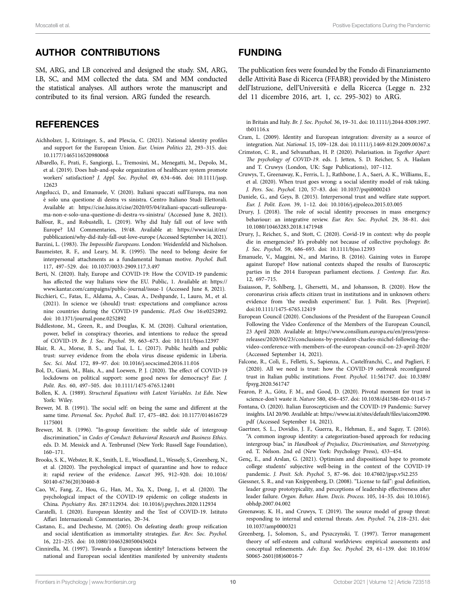# AUTHOR CONTRIBUTIONS

SM, ARG, and LB conceived and designed the study. SM, ARG, LB, SC, and MM collected the data. SM and MM conducted the statistical analyses. All authors wrote the manuscript and contributed to its final version. ARG funded the research.

# **REFERENCES**

- <span id="page-9-17"></span>Aichholzer, J., Kritzinger, S., and Plescia, C. (2021). National identity profiles and support for the European Union. *Eur. Union Politics* 22, 293–315. doi: [10.1177/1465116520980068](https://doi.org/10.1177/1465116520980068)
- <span id="page-9-33"></span>Albarello, F., Prati, F., Sangiorgi, L., Tremosini, M., Menegatti, M., Depolo, M., et al. (2019). Does hub-and-spoke organization of healthcare system promote workers' satisfaction? *J. Appl. Soc. Psychol.* 49, 634–646. doi: [10.1111/jasp.](https://doi.org/10.1111/jasp.12623) [12623](https://doi.org/10.1111/jasp.12623)
- <span id="page-9-31"></span>Angelucci, D., and Emanuele, V. (2020). Italiani spaccati sull'Europa, ma non è solo una questione di destra vs sinistra. Centro Italiano Studi Elettorali. Available at: [https://cise.luiss.it/cise/2020/05/04/italiani-spaccati-sulleuropa](https://cise.luiss.it/cise/2020/05/04/italiani-spaccati-sulleuropa-ma-non-e-solo-una-questione-di-destra-vs-sinistra/)[ma-non-e-solo-una-questione-di-destra-vs-sinistra/](https://cise.luiss.it/cise/2020/05/04/italiani-spaccati-sulleuropa-ma-non-e-solo-una-questione-di-destra-vs-sinistra/) (Accessed June 8, 2021).
- <span id="page-9-28"></span>Balfour, R., and Robustelli, L. (2019). Why did Italy fall out of love with Europe? IAI Commentaries, 19/48. Available at: [https://www.iai.it/en/](https://www.iai.it/en/pubblicazioni/why-did-italy-fall-out-love-europe) [pubblicazioni/why-did-italy-fall-out-love-europe](https://www.iai.it/en/pubblicazioni/why-did-italy-fall-out-love-europe) (Accessed September 14, 2021).
- <span id="page-9-16"></span><span id="page-9-6"></span>Barzini, L. (1983). *The Impossible Europeans*. London: Weidenfeld and Nicholson. Baumeister, R. F., and Leary, M. R. (1995). The need to belong: desire for interpersonal attachments as a fundamental human motive. *Psychol. Bull.* 117, 497–529. doi: [10.1037/0033-2909.117.3.497](https://doi.org/10.1037/0033-2909.117.3.497)
- <span id="page-9-34"></span>Berti, N. (2020). Italy, Europe and COVID-19: How the COVID-19 pandemic has affected the way Italians view the EU. Public, 1. Available at: [https://](https://www.kantar.com/campaigns/public-journal/issue-1) [www.kantar.com/campaigns/public-journal/issue-1](https://www.kantar.com/campaigns/public-journal/issue-1) (Accessed June 8, 2021).
- <span id="page-9-26"></span>Bicchieri, C., Fatas, E., Aldama, A., Casas, A., Deshpande, I., Lauro, M., et al. (2021). In science we (should) trust: expectations and compliance across nine countries during the COVID-19 pandemic. *PLoS One* 16:e0252892. doi: [10.1371/journal.pone.0252892](https://doi.org/10.1371/journal.pone.0252892)
- <span id="page-9-32"></span>Biddlestone, M., Green, R., and Douglas, K. M. (2020). Cultural orientation, power, belief in conspiracy theories, and intentions to reduce the spread of COVID-19. *Br. J. Soc. Psychol.* 59, 663–673. doi: [10.1111/bjso.12397](https://doi.org/10.1111/bjso.12397)
- <span id="page-9-19"></span>Blair, R. A., Morse, B. S., and Tsai, L. L. (2017). Public health and public trust: survey evidence from the ebola virus disease epidemic in Liberia. *Soc. Sci. Med.* 172, 89–97. doi: [10.1016/j.socscimed.2016.11.016](https://doi.org/10.1016/j.socscimed.2016.11.016)
- <span id="page-9-21"></span>Bol, D., Giani, M., Blais, A., and Loewen, P. J. (2020). The effect of COVID-19 lockdowns on political support: some good news for democracy? *Eur. J. Polit. Res.* 60, 497–505. doi: [10.1111/1475-6765.12401](https://doi.org/10.1111/1475-6765.12401)
- <span id="page-9-27"></span>Bollen, K. A. (1989). *Structural Equations with Latent Variables*. *1st Edn.* New York: Wiley.
- <span id="page-9-24"></span>Brewer, M. B. (1991). The social self: on being the same and different at the same time. *Personal. Soc. Psychol. Bull.* 17, 475–482. doi: [10.1177/014616729](https://doi.org/10.1177/0146167291175001) [1175001](https://doi.org/10.1177/0146167291175001)
- <span id="page-9-23"></span>Brewer, M. B. (1996). "In-group favoritism: the subtle side of intergroup discrimination," in *Codes of Conduct: Behavioral Research and Business Ethics*. eds. D. M. Messick and A. Tenbrunsel (New York: Russell Sage Foundation), 160–171.
- <span id="page-9-0"></span>Brooks, S. K., Webster, R. K., Smith, L. E., Woodland, L., Wessely, S., Greenberg, N., et al. (2020). The psychological impact of quarantine and how to reduce it: rapid review of the evidence. *Lancet* 395, 912–920. doi: [10.1016/](https://doi.org/10.1016/S0140-6736(20)30460-8) [S0140-6736\(20\)30460-8](https://doi.org/10.1016/S0140-6736(20)30460-8)
- <span id="page-9-1"></span>Cao, W., Fang, Z., Hou, G., Han, M., Xu, X., Dong, J., et al. (2020). The psychological impact of the COVID-19 epidemic on college students in China. *Psychiatry Res.* 287:112934. doi: [10.1016/j.psychres.2020.112934](https://doi.org/10.1016/j.psychres.2020.112934)
- <span id="page-9-13"></span>Caratelli, I. (2020). European Identity and the Test of COVID-19. Istituto Affari Internazionali Commentaries, 20–34.
- <span id="page-9-8"></span>Castano, E., and Dechesne, M. (2005). On defeating death: group reification and social identification as immortality strategies. *Eur. Rev. Soc. Psychol.* 16, 221–255. doi: [10.1080/10463280500436024](https://doi.org/10.1080/10463280500436024)
- <span id="page-9-14"></span>Cinnirella, M. (1997). Towards a European identity? Interactions between the national and European social identities manifested by university students

# FUNDING

The publication fees were founded by the Fondo di Finanziamento delle Attività Base di Ricerca (FFABR) provided by the Ministero dell'Istruzione, dell'Università e della Ricerca (Legge n. 232 del 11 dicembre 2016, art. 1, cc. 295-302) to ARG.

in Britain and Italy. *Br. J. Soc. Psychol.* 36, 19–31. doi: [10.1111/j.2044-8309.1997.](https://doi.org/10.1111/j.2044-8309.1997.tb01116.x) [tb01116.x](https://doi.org/10.1111/j.2044-8309.1997.tb01116.x)

- <span id="page-9-15"></span>Cram, L. (2009). Identity and European integration: diversity as a source of integration. *Nat. National.* 15, 109–128. doi: [10.1111/j.1469-8129.2009.00367.x](https://doi.org/10.1111/j.1469-8129.2009.00367.x)
- <span id="page-9-11"></span>Crimston, C. R., and Selvanathan, H. P. (2020). Polarisation. in *Together Apart: The psychology of COVID-19*. eds. J. Jetten, S. D. Reicher, S. A. Haslam and T. Cruwys (London, UK: Sage Publications), 107–112.
- <span id="page-9-5"></span>Cruwys, T., Greenaway, K., Ferris, L. J., Rathbone, J. A., Saeri, A. K., Williams, E., et al. (2020). When trust goes wrong: a social identity model of risk taking. *J. Pers. Soc. Psychol.* 120, 57–83. doi: [10.1037/pspi0000243](https://doi.org/10.1037/pspi0000243)
- <span id="page-9-18"></span>Daniele, G., and Geys, B. (2015). Interpersonal trust and welfare state support. *Eur. J. Polit. Econ.* 39, 1–12. doi: [10.1016/j.ejpoleco.2015.03.005](https://doi.org/10.1016/j.ejpoleco.2015.03.005)
- <span id="page-9-3"></span>Drury, J. (2018). The role of social identity processes in mass emergency behaviour: an integrative review. *Eur. Rev. Soc. Psychol.* 29, 38–81. doi: [10.1080/10463283.2018.1471948](https://doi.org/10.1080/10463283.2018.1471948)
- <span id="page-9-10"></span>Drury, J., Reicher, S., and Stott, C. (2020). Covid-19 in context: why do people die in emergencies? It's probably not because of collective psychology. *Br. J. Soc. Psychol.* 59, 686–693. doi: [10.1111/bjso.12393](https://doi.org/10.1111/bjso.12393)
- <span id="page-9-30"></span>Emanuele, V., Maggini, N., and Marino, B. (2016). Gaining votes in Europe against Europe? How national contexts shaped the results of Eurosceptic parties in the 2014 European parliament elections. *J. Contemp. Eur. Res.* 12, 697–715.
- <span id="page-9-20"></span>Esaiasson, P., Sohlberg, J., Ghersetti, M., and Johansson, B. (2020). How the coronavirus crisis affects citizen trust in institutions and in unknown others: evidence from 'the swedish experiment.' Eur. J. Polit. Res. [Preprint]. doi[:10.1111/1475-6765.12419](https://doi.org/10.1111/1475-6765.12419)
- <span id="page-9-12"></span>European Council (2020). Conclusions of the President of the European Council Following the Video Conference of the Members of the European Council, 23 April 2020. Available at: [https://www.consilium.europa.eu/en/press/press](https://www.consilium.europa.eu/en/press/press-releases/2020/04/23/conclusions-by-president-charles-michel-following-the-video-conference-with-members-of-the-european-council-on-23-april-2020/)[releases/2020/04/23/conclusions-by-president-charles-michel-following-the](https://www.consilium.europa.eu/en/press/press-releases/2020/04/23/conclusions-by-president-charles-michel-following-the-video-conference-with-members-of-the-european-council-on-23-april-2020/)[video-conference-with-members-of-the-european-council-on-23-april-2020/](https://www.consilium.europa.eu/en/press/press-releases/2020/04/23/conclusions-by-president-charles-michel-following-the-video-conference-with-members-of-the-european-council-on-23-april-2020/) (Accessed September 14, 2021).
- <span id="page-9-22"></span>Falcone, R., Colì, E., Felletti, S., Sapienza, A., Castelfranchi, C., and Paglieri, F. (2020). All we need is trust: how the COVID-19 outbreak reconfigured trust in Italian public institutions. *Front. Psychol.* 11:561747. doi: [10.3389/](https://doi.org/10.3389/fpsyg.2020.561747) [fpsyg.2020.561747](https://doi.org/10.3389/fpsyg.2020.561747)
- <span id="page-9-25"></span>Fearon, P. A., Götz, F. M., and Good, D. (2020). Pivotal moment for trust in science-don't waste it. *Nature* 580, 456–457. doi: [10.1038/d41586-020-01145-7](https://doi.org/10.1038/d41586-020-01145-7)
- <span id="page-9-29"></span>Fontana, O. (2020). Italian Euroscepticism and the COVID-19 Pandemic: Survey insights. IAI 20/90. Available at: [https://www.iai.it/sites/default/files/iaicom2090.](https://www.iai.it/sites/default/files/iaicom2090.pdf) [pdf](https://www.iai.it/sites/default/files/iaicom2090.pdf) (Accessed September 14, 2021).
- <span id="page-9-35"></span>Gaertner, S. L., Dovidio, J. F., Guerra, R., Hehman, E., and Saguy, T. (2016). "A common ingroup identity: a categorization-based approach for reducing intergroup bias," in *Handbook of Prejudice, Discrimination, and Stereotyping*. ed. T. Nelson. 2nd ed (New York: Psychology Press), 433–454.
- <span id="page-9-2"></span>Genç, E., and Arslan, G. (2021). Optimism and dispositional hope to promote college students' subjective well-being in the context of the COVID-19 pandemic. *J. Posit. Sch. Psychol.* 5, 87–96. doi: [10.47602/jpsp.v5i2.255](https://doi.org/10.47602/jpsp.v5i2.255)
- <span id="page-9-4"></span>Giessner, S. R., and van Knippenberg, D. (2008). "License to fail": goal definition, leader group prototypicality, and perceptions of leadership effectiveness after leader failure. *Organ. Behav. Hum. Decis. Process.* 105, 14–35. doi: [10.1016/j.](https://doi.org/10.1016/j.obhdp.2007.04.002) [obhdp.2007.04.002](https://doi.org/10.1016/j.obhdp.2007.04.002)
- <span id="page-9-9"></span>Greenaway, K. H., and Cruwys, T. (2019). The source model of group threat: responding to internal and external threats. *Am. Psychol.* 74, 218–231. doi: [10.1037/amp0000321](https://doi.org/10.1037/amp0000321)
- <span id="page-9-7"></span>Greenberg, J., Solomon, S., and Pyszczynski, T. (1997). Terror management theory of self-esteem and cultural worldviews: empirical assessments and conceptual refinements. *Adv. Exp. Soc. Psychol.* 29, 61–139. doi: [10.1016/](https://doi.org/10.1016/S0065-2601(08)60016-7) [S0065-2601\(08\)60016-7](https://doi.org/10.1016/S0065-2601(08)60016-7)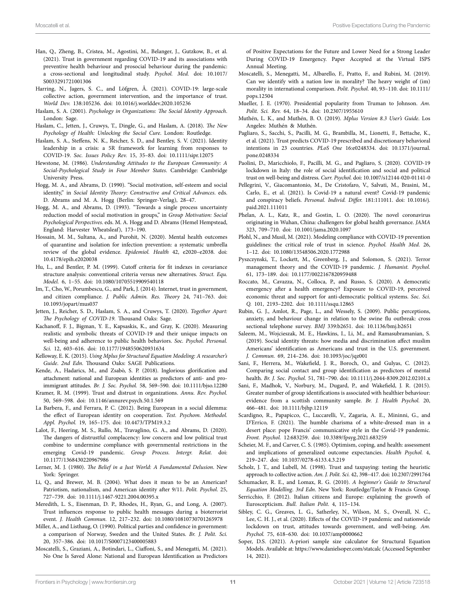- <span id="page-10-25"></span>Han, Q., Zheng, B., Cristea, M., Agostini, M., Belanger, J., Gutzkow, B., et al. (2021). Trust in government regarding COVID-19 and its associations with preventive health behaviour and prosocial behaviour during the pandemic: a cross-sectional and longitudinal study. *Psychol. Med.* doi: [10.1017/](https://doi.org/10.1017/S0033291721001306) [S0033291721001306](https://doi.org/10.1017/S0033291721001306)
- <span id="page-10-26"></span>Harring, N., Jagers, S. C., and Löfgren, Å. (2021). COVID-19: large-scale collective action, government intervention, and the importance of trust. *World Dev.* 138:105236. doi: [10.1016/j.worlddev.2020.105236](https://doi.org/10.1016/j.worlddev.2020.105236)
- <span id="page-10-7"></span>Haslam, S. A. (2001). *Psychology in Organizations: The Social Identity Approach*. London: Sage.
- <span id="page-10-6"></span>Haslam, C., Jetten, J., Cruwys, T., Dingle, G., and Haslam, A. (2018). *The New Psychology of Health: Unlocking the Social Cure*. London: Routledge.
- <span id="page-10-9"></span>Haslam, S. A., Steffens, N. K., Reicher, S. D., and Bentley, S. V. (2021). Identity leadership in a crisis: a 5R framework for learning from responses to COVID-19. *Soc. Issues Policy Rev.* 15, 35–83. doi: [10.1111/sipr.12075](https://doi.org/10.1111/sipr.12075)
- <span id="page-10-17"></span>Hewstone, M. (1986). *Understanding Attitudes to the European Community: A Social-Psychological Study in Four Member States*. Cambridge: Cambridge University Press.
- <span id="page-10-10"></span>Hogg, M. A., and Abrams, D. (1990). "Social motivation, self-esteem and social identity," in *Social Identity Theory: Constructive and Critical Advances*. eds. D. Abrams and M. A. Hogg (Berlin: Springer-Verlag), 28–47.
- <span id="page-10-11"></span>Hogg, M. A., and Abrams, D. (1993). "Towards a single process uncertainty reduction model of social motivation in groups," in *Group Motivation: Social Psychological Perspectives*. eds. M. A. Hogg and D. Abrams (Hemel Hempstead, England: Harvester Wheatsleaf), 173–190.
- <span id="page-10-1"></span>Hossain, M. M., Sultana, A., and Purohit, N. (2020). Mental health outcomes of quarantine and isolation for infection prevention: a systematic umbrella review of the global evidence. *Epidemiol. Health* 42, e2020–e2038. doi: [10.4178/epih.e2020038](https://doi.org/10.4178/epih.e2020038)
- <span id="page-10-37"></span>Hu, L., and Bentler, P. M. (1999). Cutoff criteria for fit indexes in covariance structure analysis: conventional criteria versus new alternatives. *Struct. Equ. Model.* 6, 1–55. doi: [10.1080/10705519909540118](https://doi.org/10.1080/10705519909540118)
- <span id="page-10-19"></span>Im, T., Cho, W., Porumbescu, G., and Park, J. (2014). Internet, trust in government, and citizen compliance. *J. Public Admin. Res. Theory* 24, 741–763. doi: [10.1093/jopart/mus037](https://doi.org/10.1093/jopart/mus037)
- <span id="page-10-5"></span>Jetten, J., Reicher, S. D., Haslam, S. A., and Cruwys, T. (2020). *Together Apart: The Psychology of COVID-19*. Thousand Oaks: Sage.
- <span id="page-10-2"></span>Kachanoff, F. J., Bigman, Y. E., Kapsaskis, K., and Gray, K. (2020). Measuring realistic and symbolic threats of COVID-19 and their unique impacts on well-being and adherence to public health behaviors. *Soc. Psychol. Personal. Sci.* 12, 603–616. doi: [10.1177/1948550620931634](https://doi.org/10.1177/1948550620931634)
- <span id="page-10-32"></span>Kelloway, E. K. (2015). *Using Mplus for Structural Equation Modeling: A researcher's Guide*. *2nd Edn*. Thousand Oaks: SAGE Publications.
- <span id="page-10-39"></span>Kende, A., Hadarics, M., and Zsabò, S. P. (2018). Inglorious glorification and attachment: national and European identities as predictors of anti- and proimmigrant attitudes. *Br. J. Soc. Psychol.* 58, 569–590. doi: [10.1111/bjso.12280](https://doi.org/10.1111/bjso.12280)
- <span id="page-10-30"></span>Kramer, R. M. (1999). Trust and distrust in organizations. *Annu. Rev. Psychol.* 50, 569–598. doi: [10.1146/annurev.psych.50.1.569](https://doi.org/10.1146/annurev.psych.50.1.569)
- <span id="page-10-31"></span>La Barbera, F., and Ferrara, P. C. (2012). Being European in a social dilemma: the effect of European identity on cooperation. *Test. Psychom. Methodol. Appl. Psychol.* 19, 165–175. doi: [10.4473/TPM19.3.2](https://doi.org/10.4473/TPM19.3.2)
- <span id="page-10-3"></span>Lalot, F., Heering, M. S., Rullo, M., Travaglino, G. A., and Abrams, D. (2020). The dangers of distrustful complacency: low concern and low political trust combine to undermine compliance with governmental restrictions in the emerging Covid-19 pandemic. *Group Process. Intergr. Relat.* doi: [10.1177/1368430220967986](https://doi.org/10.1177/1368430220967986)
- <span id="page-10-42"></span>Lerner, M. J. (1980). *The Belief in a Just World: A Fundamental Delusion*. New York: Springer.
- <span id="page-10-14"></span>Li, Q., and Brewer, M. B. (2004). What does it mean to be an American? Patriotism, nationalism, and American identity after 9/11. *Polit. Psychol.* 25, 727–739. doi: [10.1111/j.1467-9221.2004.00395.x](https://doi.org/10.1111/j.1467-9221.2004.00395.x)
- <span id="page-10-21"></span>Meredith, L. S., Eisenman, D. P., Rhodes, H., Ryan, G., and Long, A. (2007). Trust influences response to public health messages during a bioterrorist event. *J. Health Commun.* 12, 217–232. doi: [10.1080/10810730701265978](https://doi.org/10.1080/10810730701265978)
- <span id="page-10-18"></span>Miller, A., and Listhaug, O. (1990). Political parties and confidence in government: a comparison of Norway, Sweden and the United States. *Br. J. Polit. Sci.* 20, 357–386. doi: [10.1017/S0007123400005883](https://doi.org/10.1017/S0007123400005883)
- <span id="page-10-43"></span>Moscatelli, S., Graziani, A., Botindari, L., Ciaffoni, S., and Menegatti, M. (2021). No One Is Saved Alone: National and European Identification as Predictors

of Positive Expectations for the Future and Lower Need for a Strong Leader During COVID-19 Emergency. Paper Accepted at the Virtual ISPS Annual Meeting.

- <span id="page-10-38"></span>Moscatelli, S., Menegatti, M., Albarello, F., Pratto, F., and Rubini, M. (2019). Can we identify with a nation low in morality? The heavy weight of (im) morality in international comparison. *Polit. Psychol.* 40, 93–110. doi: [10.1111/](https://doi.org/10.1111/pops.12504) [pops.12504](https://doi.org/10.1111/pops.12504)
- <span id="page-10-23"></span>Mueller, J. E. (1970). Presidential popularity from Truman to Johnson. *Am. Polit. Sci. Rev.* 64, 18–34. doi: [10.2307/1955610](https://doi.org/10.2307/1955610)
- <span id="page-10-35"></span>Muthén, L. K., and Muthén, B. O. (2019). *Mplus Version 8.3 User's Guide*. Los Angeles: Muthén & Muthén.
- <span id="page-10-28"></span>Pagliaro, S., Sacchi, S., Pacilli, M. G., Brambilla, M., Lionetti, F., Bettache, K., et al. (2021). Trust predicts COVID-19 prescribed and discretionary behavioral intentions in 23 countries. *PLoS One* 16:e0248334. doi: [10.1371/journal.](https://doi.org/10.1371/journal.pone.0248334) [pone.0248334](https://doi.org/10.1371/journal.pone.0248334)
- <span id="page-10-16"></span>Paolini, D., Maricchiolo, F., Pacilli, M. G., and Pagliaro, S. (2020). COVID-19 lockdown in Italy: the role of social identification and social and political trust on well-being and distress. *Curr. Psychol.* doi: [10.1007/s12144-020-01141-0](https://doi.org/10.1007/s12144-020-01141-0)
- <span id="page-10-41"></span>Pellegrini, V., Giacomantonio, M., De Cristofaro, V., Salvati, M., Brasini, M., Carlo, E., et al. (2021). Is Covid-19 a natural event? Covid-19 pandemic and conspiracy beliefs. *Personal. Individ. Differ.* 181:111011. doi: [10.1016/j.](https://doi.org/10.1016/j.paid.2021.111011) [paid.2021.111011](https://doi.org/10.1016/j.paid.2021.111011)
- <span id="page-10-0"></span>Phelan, A. L., Katz, R., and Gostin, L. O. (2020). The novel coronavirus originating in Wuhan, China: challengers for global health governance. *JAMA* 323, 709–710. doi: [10.1001/jama.2020.1097](https://doi.org/10.1001/jama.2020.1097)
- <span id="page-10-27"></span>Plohl, N., and Musil, M. (2021). Modeling compliance with COVID-19 prevention guidelines: the critical role of trust in science. *Psychol. Health Med.* 26, 1–12. doi: [10.1080/13548506.2020.1772988](https://doi.org/10.1080/13548506.2020.1772988)
- <span id="page-10-13"></span>Pyszczynski, T., Lockett, M., Greenberg, J., and Solomon, S. (2021). Terror management theory and the COVID-19 pandemic. *J. Humanist. Psychol.* 61, 173–189. doi: [10.1177/0022167820959488](https://doi.org/10.1177/0022167820959488)
- <span id="page-10-24"></span>Roccato, M., Cavazza, N., Colloca, P., and Russo, S. (2020). A democratic emergency after a health emergency? Exposure to COVID-19, perceived economic threat and support for anti-democratic political systems. *Soc. Sci. Q.* 101, 2193–2202. doi: [10.1111/ssqu.12865](https://doi.org/10.1111/ssqu.12865)
- <span id="page-10-22"></span>Rubin, G. J., Amlot, R., Page, L., and Wessely, S. (2009). Public perceptions, anxiety, and behaviour change in relation to the swine flu outbreak: cross sectional telephone survey. *BMJ* 339:b2651. doi: [10.1136/bmj.b2651](https://doi.org/10.1136/bmj.b2651)
- <span id="page-10-29"></span>Saleem, M., Wojcieszak, M. E., Hawkins, I., Li, M., and Ramasubramanian, S. (2019). Social identity threats: how media and discrimination affect muslim Americans' identification as Americans and trust in the U.S. government. *J. Commun.* 69, 214–236. doi: [10.1093/joc/jqz001](https://doi.org/10.1093/joc/jqz001)
- <span id="page-10-12"></span>Sani, F., Herrera, M., Wakefield, J. R., Boroch, O., and Gulyas, C. (2012). Comparing social contact and group identification as predictors of mental health. *Br. J. Soc. Psychol.* 51, 781–790. doi: [10.1111/j.2044-8309.2012.02101.x](https://doi.org/10.1111/j.2044-8309.2012.02101.x)
- <span id="page-10-34"></span>Sani, F., Madhok, V., Norbury, M., Dugard, P., and Wakefield, J. R. (2015). Greater number of group identifications is associated with healthier behaviour: evidence from a scottish community sample. *Br. J. Health Psychol.* 20, 466–481. doi: [10.1111/bjhp.12119](https://doi.org/10.1111/bjhp.12119)
- <span id="page-10-8"></span>Scardigno, R., Papapicco, C., Luccarelli, V., Zagaria, A. E., Mininni, G., and D'Errico, F. (2021). The humble charisma of a white-dressed man in a desert place: pope Francis' communicative style in the Covid-19 pandemic. *Front. Psychol.* 12:683259. doi: [10.3389/fpsyg.2021.683259](https://doi.org/10.3389/fpsyg.2021.683259)
- <span id="page-10-4"></span>Scheier, M. F., and Carver, C. S. (1985). Optimism, coping, and health: assessment and implications of generalized outcome expectancies. *Health Psychol.* 4, 219–247. doi: [10.1037/0278-6133.4.3.219](https://doi.org/10.1037/0278-6133.4.3.219)
- <span id="page-10-20"></span>Scholz, J. T., and Lubell, M. (1998). Trust and taxpaying: testing the heuristic approach to collective action. *Am. J. Polit. Sci.* 42, 398–417. doi: [10.2307/2991764](https://doi.org/10.2307/2991764)
- <span id="page-10-36"></span>Schumacker, R. E., and Lomax, R. G. (2010). *A beginner's Guide to Structural Equation Modelling*. *3rd Edn*. New York: Routledge/Taylor & Francis Group.
- <span id="page-10-40"></span>Serricchio, F. (2012). Italian citizens and Europe: explaining the growth of Euroscepticism. *Bull. Italian Polit.* 4, 115–134.
- <span id="page-10-15"></span>Sibley, C. G., Greaves, L. G., Satherley, N., Wilson, M. S., Overall, N. C., Lee, C. H. J., et al. (2020). Effects of the COVID-19 pandemic and nationwide lockdown on trust, attitudes towards government, and well-being. *Am. Psychol.* 75, 618–630. doi: [10.1037/amp0000662](https://doi.org/10.1037/amp0000662)
- <span id="page-10-33"></span>Soper, D.S. (2021). A-priori sample size calculator for Structural Equation Models. Available at:<https://www.danielsoper.com/statcalc>(Accessed September 14, 2021).